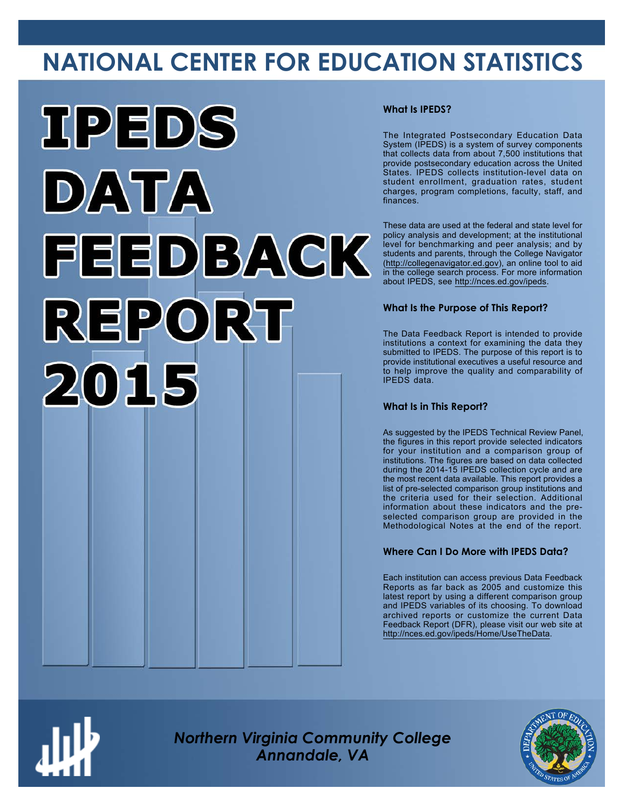# **NATIONAL CENTER FOR EDUCATION STATISTICS**



### **What Is IPEDS?**

The Integrated Postsecondary Education Data System (IPEDS) is a system of survey components that collects data from about 7,500 institutions that provide postsecondary education across the United States. IPEDS collects institution-level data on student enrollment, graduation rates, student charges, program completions, faculty, staff, and finances.

These data are used at the federal and state level for policy analysis and development; at the institutional level for benchmarking and peer analysis; and by students and parents, through the College Navigator ([http://collegenavigator.ed.gov\)](http://collegenavigator.ed.gov), an online tool to aid in the college search process. For more information about IPEDS, see [http://nces.ed.gov/ipeds.](http://nces.ed.gov/ipeds)

### **What Is the Purpose of This Report?**

The Data Feedback Report is intended to provide institutions a context for examining the data they submitted to IPEDS. The purpose of this report is to provide institutional executives a useful resource and to help improve the quality and comparability of IPEDS data.

### **What Is in This Report?**

As suggested by the IPEDS Technical Review Panel, the figures in this report provide selected indicators for your institution and a comparison group of institutions. The figures are based on data collected during the 2014-15 IPEDS collection cycle and are the most recent data available. This report provides a list of pre-selected comparison group institutions and the criteria used for their selection. Additional information about these indicators and the preselected comparison group are provided in the Methodological Notes at the end of the report.

### **Where Can I Do More with IPEDS Data?**

Each institution can access previous Data Feedback Reports as far back as 2005 and customize this latest report by using a different comparison group and IPEDS variables of its choosing. To download archived reports or customize the current Data Feedback Report (DFR), please visit our web site at [http://nces.ed.gov/ipeds/Home/UseTheData.](http://nces.ed.gov/ipeds/Home/UseTheData)



*Northern Virginia Community College Annandale, VA*

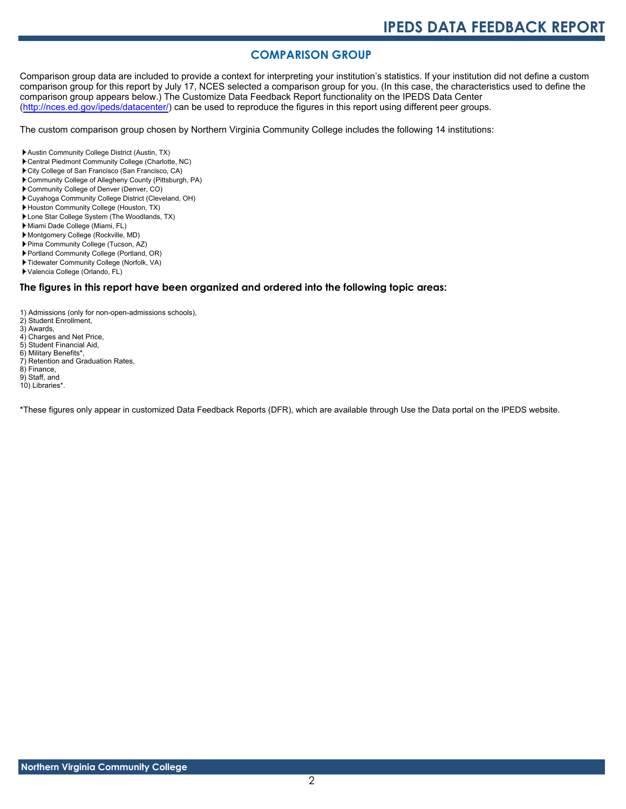### **COMPARISON GROUP**

Comparison group data are included to provide a context for interpreting your institution's statistics. If your institution did not define a custom comparison group for this report by July 17, NCES selected a comparison group for you. (In this case, the characteristics used to define the comparison group appears below.) The Customize Data Feedback Report functionality on the IPEDS Data Center [\(http://nces.ed.gov/ipeds/datacenter/\)](http://nces.ed.gov/ipeds/datacenter/) can be used to reproduce the figures in this report using different peer groups.

The custom comparison group chosen by Northern Virginia Community College includes the following 14 institutions:

- Austin Community College District (Austin, TX)
- Central Piedmont Community College (Charlotte, NC)
- City College of San Francisco (San Francisco, CA)
- Community College of Allegheny County (Pittsburgh, PA)
- Community College of Denver (Denver, CO)
- Cuyahoga Community College District (Cleveland, OH)
- Houston Community College (Houston, TX)
- Lone Star College System (The Woodlands, TX)
- Miami Dade College (Miami, FL)
- Montgomery College (Rockville, MD)
- Pima Community College (Tucson, AZ)
- Portland Community College (Portland, OR)
- Tidewater Community College (Norfolk, VA)
- Valencia College (Orlando, FL)

#### **The figures in this report have been organized and ordered into the following topic areas:**

- 1) Admissions (only for non-open-admissions schools),
- 2) Student Enrollment,
- 3) Awards,
- 4) Charges and Net Price,
- 5) Student Financial Aid,
- 6) Military Benefits\*,
- 7) Retention and Graduation Rates, 8) Finance,
- 9) Staff, and
- 10) Libraries\*.

\*These figures only appear in customized Data Feedback Reports (DFR), which are available through Use the Data portal on the IPEDS website.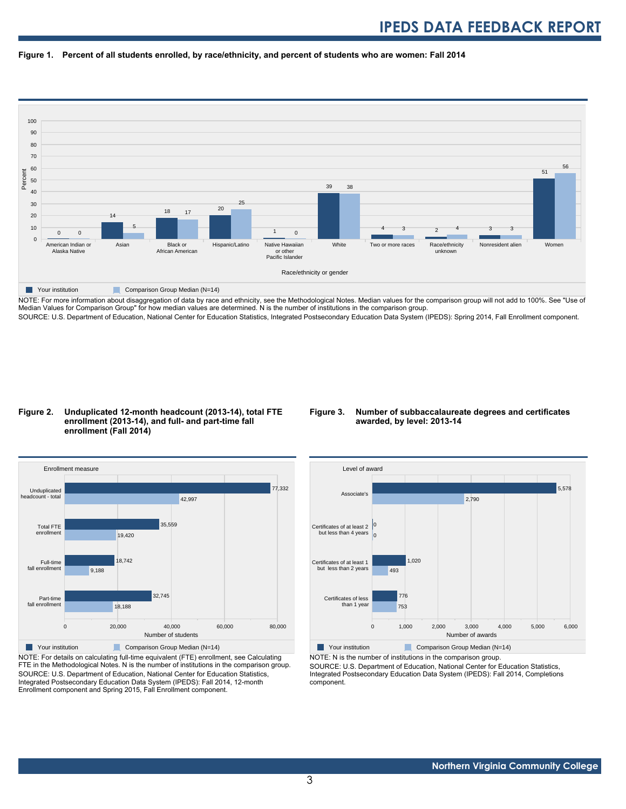



NOTE: For more information about disaggregation of data by race and ethnicity, see the Methodological Notes. Median values for the comparison group will not add to 100%. See "Use of Median Values for Comparison Group" for how median values are determined. N is the number of institutions in the comparison group. SOURCE: U.S. Department of Education, National Center for Education Statistics, Integrated Postsecondary Education Data System (IPEDS): Spring 2014, Fall Enrollment component.

#### **Figure 2. Unduplicated 12-month headcount (2013-14), total FTE enrollment (2013-14), and full- and part-time fall enrollment (Fall 2014)**





NOTE: For details on calculating full-time equivalent (FTE) enrollment, see Calculating FTE in the Methodological Notes. N is the number of institutions in the comparison group. SOURCE: U.S. Department of Education, National Center for Education Statistics, Integrated Postsecondary Education Data System (IPEDS): Fall 2014, 12-month Enrollment component and Spring 2015, Fall Enrollment component.



NOTE: N is the number of institutions in the comparison group.

SOURCE: U.S. Department of Education, National Center for Education Statistics, Integrated Postsecondary Education Data System (IPEDS): Fall 2014, Completions component.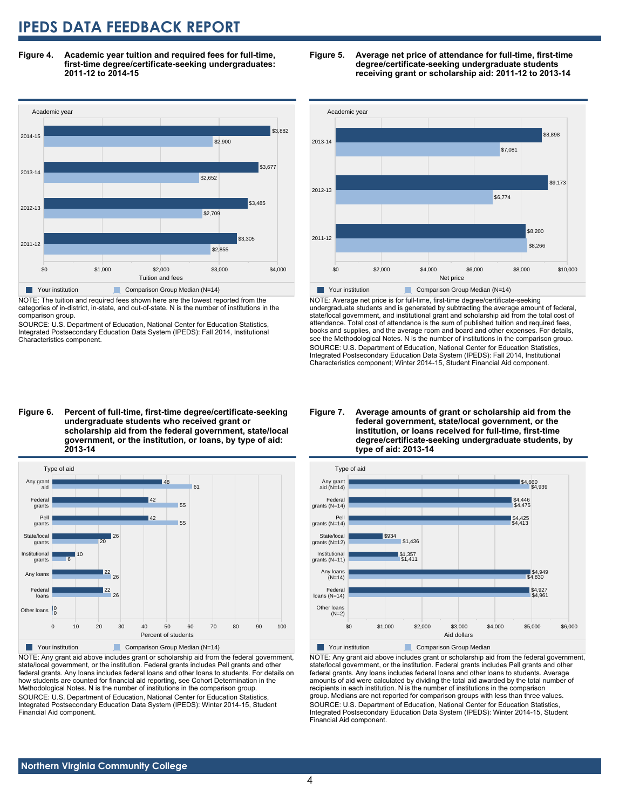**Figure 4. Academic year tuition and required fees for full-time, first-time degree/certificate-seeking undergraduates: 2011-12 to 2014-15**



NOTE: The tuition and required fees shown here are the lowest reported from the categories of in-district, in-state, and out-of-state. N is the number of institutions in the comparison group.

SOURCE: U.S. Department of Education, National Center for Education Statistics, Integrated Postsecondary Education Data System (IPEDS): Fall 2014, Institutional Characteristics component.





NOTE: Average net price is for full-time, first-time degree/certificate-seeking undergraduate students and is generated by subtracting the average amount of federal, state/local government, and institutional grant and scholarship aid from the total cost of attendance. Total cost of attendance is the sum of published tuition and required fees, books and supplies, and the average room and board and other expenses. For details, see the Methodological Notes. N is the number of institutions in the comparison group. SOURCE: U.S. Department of Education, National Center for Education Statistics, Integrated Postsecondary Education Data System (IPEDS): Fall 2014, Institutional Characteristics component; Winter 2014-15, Student Financial Aid component.

#### **Figure 6. Percent of full-time, first-time degree/certificate-seeking undergraduate students who received grant or scholarship aid from the federal government, state/local government, or the institution, or loans, by type of aid: 2013-14**



NOTE: Any grant aid above includes grant or scholarship aid from the federal government, state/local government, or the institution. Federal grants includes Pell grants and other federal grants. Any loans includes federal loans and other loans to students. For details on how students are counted for financial aid reporting, see Cohort Determination in the Methodological Notes. N is the number of institutions in the comparison group. SOURCE: U.S. Department of Education, National Center for Education Statistics, Integrated Postsecondary Education Data System (IPEDS): Winter 2014-15, Student Financial Aid component.

#### **Figure 7. Average amounts of grant or scholarship aid from the federal government, state/local government, or the institution, or loans received for full-time, first-time degree/certificate-seeking undergraduate students, by type of aid: 2013-14**



NOTE: Any grant aid above includes grant or scholarship aid from the federal government, state/local government, or the institution. Federal grants includes Pell grants and other federal grants. Any loans includes federal loans and other loans to students. Average amounts of aid were calculated by dividing the total aid awarded by the total number of recipients in each institution. N is the number of institutions in the comparison group. Medians are not reported for comparison groups with less than three values. SOURCE: U.S. Department of Education, National Center for Education Statistics, Integrated Postsecondary Education Data System (IPEDS): Winter 2014-15, Student Financial Aid component.

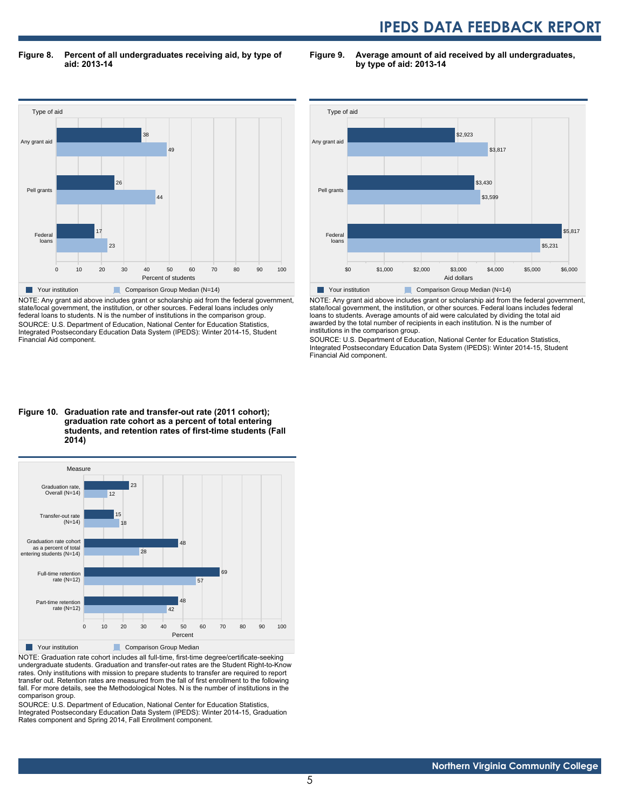**Figure 8. Percent of all undergraduates receiving aid, by type of aid: 2013-14**

**Figure 9. Average amount of aid received by all undergraduates, by type of aid: 2013-14**



NOTE: Any grant aid above includes grant or scholarship aid from the federal government, state/local government, the institution, or other sources. Federal loans includes only federal loans to students. N is the number of institutions in the comparison group. SOURCE: U.S. Department of Education, National Center for Education Statistics, Integrated Postsecondary Education Data System (IPEDS): Winter 2014-15, Student Financial Aid component.



NOTE: Any grant aid above includes grant or scholarship aid from the federal government, state/local government, the institution, or other sources. Federal loans includes federal loans to students. Average amounts of aid were calculated by dividing the total aid awarded by the total number of recipients in each institution. N is the number of institutions in the comparison group.

SOURCE: U.S. Department of Education, National Center for Education Statistics, Integrated Postsecondary Education Data System (IPEDS): Winter 2014-15, Student Financial Aid component.

#### **Figure 10. Graduation rate and transfer-out rate (2011 cohort); graduation rate cohort as a percent of total entering students, and retention rates of first-time students (Fall 2014)**



NOTE: Graduation rate cohort includes all full-time, first-time degree/certificate-seeking undergraduate students. Graduation and transfer-out rates are the Student Right-to-Know rates. Only institutions with mission to prepare students to transfer are required to report transfer out. Retention rates are measured from the fall of first enrollment to the following fall. For more details, see the Methodological Notes. N is the number of institutions in the comparison group.

SOURCE: U.S. Department of Education, National Center for Education Statistics, Integrated Postsecondary Education Data System (IPEDS): Winter 2014-15, Graduation Rates component and Spring 2014, Fall Enrollment component.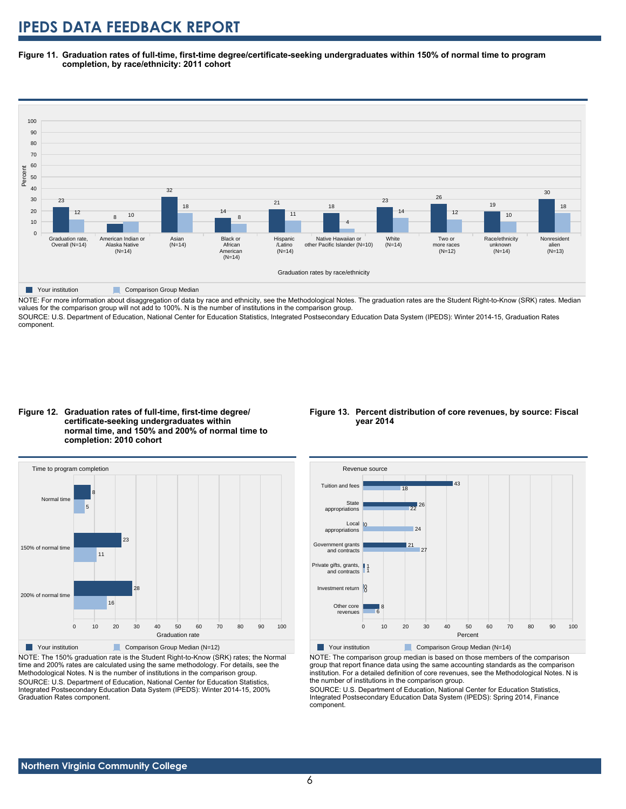**Figure 11. Graduation rates of full-time, first-time degree/certificate-seeking undergraduates within 150% of normal time to program completion, by race/ethnicity: 2011 cohort**



NOTE: For more information about disaggregation of data by race and ethnicity, see the Methodological Notes. The graduation rates are the Student Right-to-Know (SRK) rates. Median values for the comparison group will not add to 100%. N is the number of institutions in the comparison group.

SOURCE: U.S. Department of Education, National Center for Education Statistics, Integrated Postsecondary Education Data System (IPEDS): Winter 2014-15, Graduation Rates component.





NOTE: The 150% graduation rate is the Student Right-to-Know (SRK) rates; the Normal time and 200% rates are calculated using the same methodology. For details, see the Methodological Notes. N is the number of institutions in the comparison group. SOURCE: U.S. Department of Education, National Center for Education Statistics, Integrated Postsecondary Education Data System (IPEDS): Winter 2014-15, 200% Graduation Rates component.

#### **Figure 13. Percent distribution of core revenues, by source: Fiscal year 2014**



NOTE: The comparison group median is based on those members of the comparison group that report finance data using the same accounting standards as the comparison institution. For a detailed definition of core revenues, see the Methodological Notes. N is the number of institutions in the comparison group.

SOURCE: U.S. Department of Education, National Center for Education Statistics, Integrated Postsecondary Education Data System (IPEDS): Spring 2014, Finance component.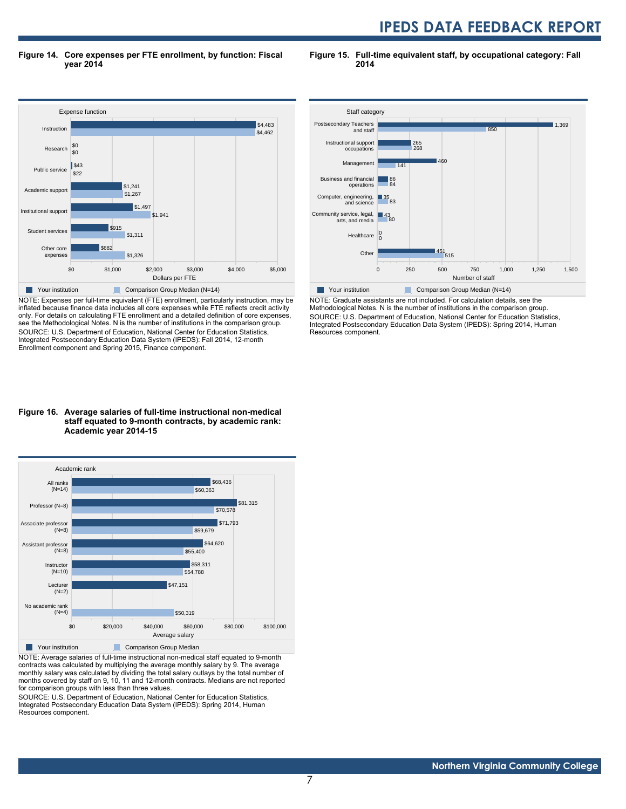**Figure 14. Core expenses per FTE enrollment, by function: Fiscal year 2014**

**Figure 15. Full-time equivalent staff, by occupational category: Fall 2014**



NOTE: Expenses per full-time equivalent (FTE) enrollment, particularly instruction, may be inflated because finance data includes all core expenses while FTE reflects credit activity only. For details on calculating FTE enrollment and a detailed definition of core expenses, see the Methodological Notes. N is the number of institutions in the comparison group. SOURCE: U.S. Department of Education, National Center for Education Statistics, Integrated Postsecondary Education Data System (IPEDS): Fall 2014, 12-month Enrollment component and Spring 2015, Finance component.





NOTE: Average salaries of full-time instructional non-medical staff equated to 9-month contracts was calculated by multiplying the average monthly salary by 9. The average monthly salary was calculated by dividing the total salary outlays by the total number of months covered by staff on 9, 10, 11 and 12-month contracts. Medians are not reported for comparison groups with less than three values.

SOURCE: U.S. Department of Education, National Center for Education Statistics, Integrated Postsecondary Education Data System (IPEDS): Spring 2014, Human Resources component.



NOTE: Graduate assistants are not included. For calculation details, see the Methodological Notes. N is the number of institutions in the comparison group. SOURCE: U.S. Department of Education, National Center for Education Statistics, Integrated Postsecondary Education Data System (IPEDS): Spring 2014, Human Resources component.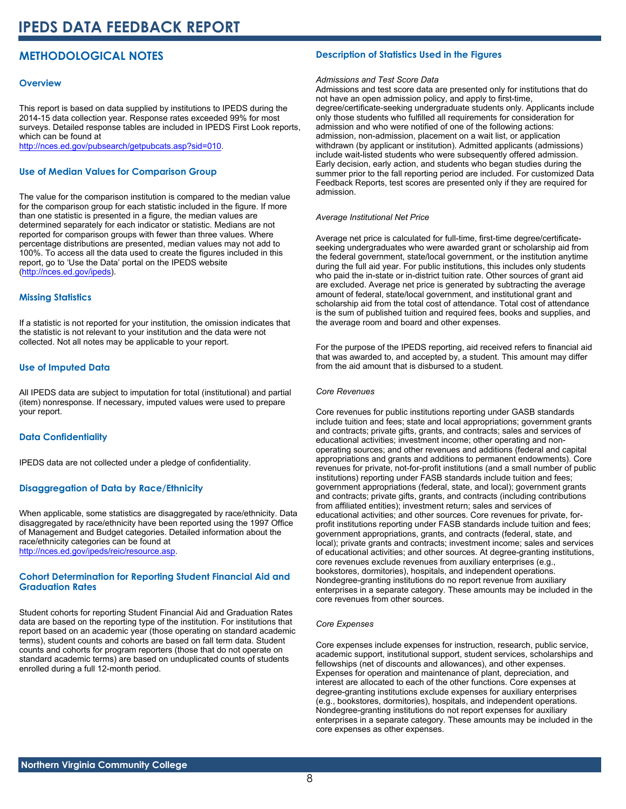## **METHODOLOGICAL NOTES**

#### **Overview**

This report is based on data supplied by institutions to IPEDS during the 2014-15 data collection year. Response rates exceeded 99% for most surveys. Detailed response tables are included in IPEDS First Look reports, which can be found at [http://nces.ed.gov/pubsearch/getpubcats.asp?sid=010.](http://nces.ed.gov/pubsearch/getpubcats.asp?sid=010)

#### **Use of Median Values for Comparison Group**

The value for the comparison institution is compared to the median value for the comparison group for each statistic included in the figure. If more than one statistic is presented in a figure, the median values are determined separately for each indicator or statistic. Medians are not reported for comparison groups with fewer than three values. Where percentage distributions are presented, median values may not add to 100%. To access all the data used to create the figures included in this report, go to 'Use the Data' portal on the IPEDS website ([http://nces.ed.gov/ipeds\)](http://nces.ed.gov/ipeds).

#### **Missing Statistics**

If a statistic is not reported for your institution, the omission indicates that the statistic is not relevant to your institution and the data were not collected. Not all notes may be applicable to your report.

#### **Use of Imputed Data**

All IPEDS data are subject to imputation for total (institutional) and partial (item) nonresponse. If necessary, imputed values were used to prepare your report.

#### **Data Confidentiality**

IPEDS data are not collected under a pledge of confidentiality.

#### **Disaggregation of Data by Race/Ethnicity**

When applicable, some statistics are disaggregated by race/ethnicity. Data disaggregated by race/ethnicity have been reported using the 1997 Office of Management and Budget categories. Detailed information about the race/ethnicity categories can be found at <http://nces.ed.gov/ipeds/reic/resource.asp>.

#### **Cohort Determination for Reporting Student Financial Aid and Graduation Rates**

Student cohorts for reporting Student Financial Aid and Graduation Rates data are based on the reporting type of the institution. For institutions that report based on an academic year (those operating on standard academic terms), student counts and cohorts are based on fall term data. Student counts and cohorts for program reporters (those that do not operate on standard academic terms) are based on unduplicated counts of students enrolled during a full 12-month period.

#### **Description of Statistics Used in the Figures**

#### *Admissions and Test Score Data*

Admissions and test score data are presented only for institutions that do not have an open admission policy, and apply to first-time, degree/certificate-seeking undergraduate students only. Applicants include only those students who fulfilled all requirements for consideration for admission and who were notified of one of the following actions: admission, non-admission, placement on a wait list, or application withdrawn (by applicant or institution). Admitted applicants (admissions) include wait-listed students who were subsequently offered admission. Early decision, early action, and students who began studies during the summer prior to the fall reporting period are included. For customized Data Feedback Reports, test scores are presented only if they are required for admission.

#### *Average Institutional Net Price*

Average net price is calculated for full-time, first-time degree/certificateseeking undergraduates who were awarded grant or scholarship aid from the federal government, state/local government, or the institution anytime during the full aid year. For public institutions, this includes only students who paid the in-state or in-district tuition rate. Other sources of grant aid are excluded. Average net price is generated by subtracting the average amount of federal, state/local government, and institutional grant and scholarship aid from the total cost of attendance. Total cost of attendance is the sum of published tuition and required fees, books and supplies, and the average room and board and other expenses.

For the purpose of the IPEDS reporting, aid received refers to financial aid that was awarded to, and accepted by, a student. This amount may differ from the aid amount that is disbursed to a student.

#### *Core Revenues*

Core revenues for public institutions reporting under GASB standards include tuition and fees; state and local appropriations; government grants and contracts; private gifts, grants, and contracts; sales and services of educational activities; investment income; other operating and nonoperating sources; and other revenues and additions (federal and capital appropriations and grants and additions to permanent endowments). Core revenues for private, not-for-profit institutions (and a small number of public institutions) reporting under FASB standards include tuition and fees; government appropriations (federal, state, and local); government grants and contracts; private gifts, grants, and contracts (including contributions from affiliated entities); investment return; sales and services of educational activities; and other sources. Core revenues for private, forprofit institutions reporting under FASB standards include tuition and fees; government appropriations, grants, and contracts (federal, state, and local); private grants and contracts; investment income; sales and services of educational activities; and other sources. At degree-granting institutions, core revenues exclude revenues from auxiliary enterprises (e.g., bookstores, dormitories), hospitals, and independent operations. Nondegree-granting institutions do no report revenue from auxiliary enterprises in a separate category. These amounts may be included in the core revenues from other sources.

#### *Core Expenses*

Core expenses include expenses for instruction, research, public service, academic support, institutional support, student services, scholarships and fellowships (net of discounts and allowances), and other expenses. Expenses for operation and maintenance of plant, depreciation, and interest are allocated to each of the other functions. Core expenses at degree-granting institutions exclude expenses for auxiliary enterprises (e.g., bookstores, dormitories), hospitals, and independent operations. Nondegree-granting institutions do not report expenses for auxiliary enterprises in a separate category. These amounts may be included in the core expenses as other expenses.